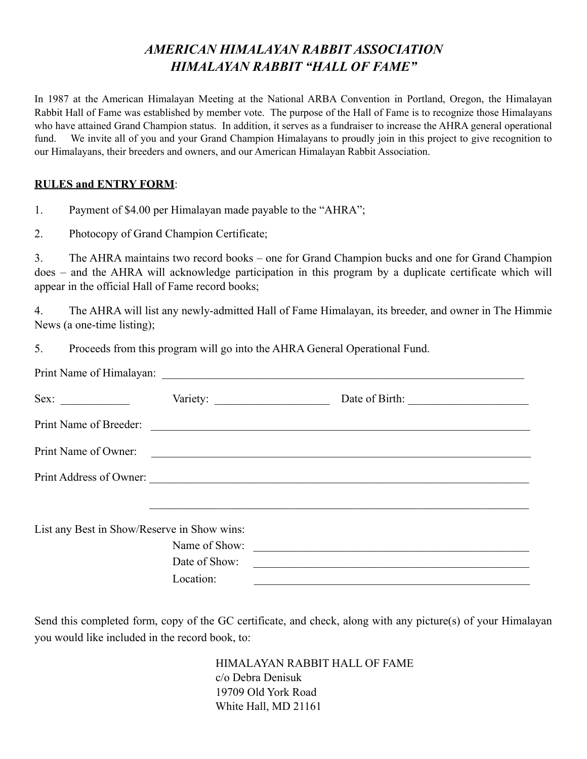## *AMERICAN HIMALAYAN RABBIT ASSOCIATION HIMALAYAN RABBIT "HALL OF FAME"*

In 1987 at the American Himalayan Meeting at the National ARBA Convention in Portland, Oregon, the Himalayan Rabbit Hall of Fame was established by member vote. The purpose of the Hall of Fame is to recognize those Himalayans who have attained Grand Champion status. In addition, it serves as a fundraiser to increase the AHRA general operational fund. We invite all of you and your Grand Champion Himalayans to proudly join in this project to give recognition to our Himalayans, their breeders and owners, and our American Himalayan Rabbit Association.

## **RULES and ENTRY FORM**:

1. Payment of \$4.00 per Himalayan made payable to the "AHRA";

2. Photocopy of Grand Champion Certificate;

3. The AHRA maintains two record books – one for Grand Champion bucks and one for Grand Champion does – and the AHRA will acknowledge participation in this program by a duplicate certificate which will appear in the official Hall of Fame record books;

4. The AHRA will list any newly-admitted Hall of Fame Himalayan, its breeder, and owner in The Himmie News (a one-time listing);

5. Proceeds from this program will go into the AHRA General Operational Fund.

| Sex:                                        |               |                                                                                                                       |
|---------------------------------------------|---------------|-----------------------------------------------------------------------------------------------------------------------|
|                                             |               | Print Name of Breeder:                                                                                                |
| Print Name of Owner:                        |               | <u> Alexandria de la contrada de la contrada de la contrada de la contrada de la contrada de la contrada de la c</u>  |
|                                             |               | Print Address of Owner:                                                                                               |
|                                             |               |                                                                                                                       |
| List any Best in Show/Reserve in Show wins: |               |                                                                                                                       |
|                                             | Name of Show: |                                                                                                                       |
|                                             | Date of Show: | <u> 1989 - Johann Harry Harry Harry Harry Harry Harry Harry Harry Harry Harry Harry Harry Harry Harry Harry Harry</u> |
|                                             | Location:     |                                                                                                                       |

Send this completed form, copy of the GC certificate, and check, along with any picture(s) of your Himalayan you would like included in the record book, to:

> HIMALAYAN RABBIT HALL OF FAME c/o Debra Denisuk 19709 Old York Road White Hall, MD 21161